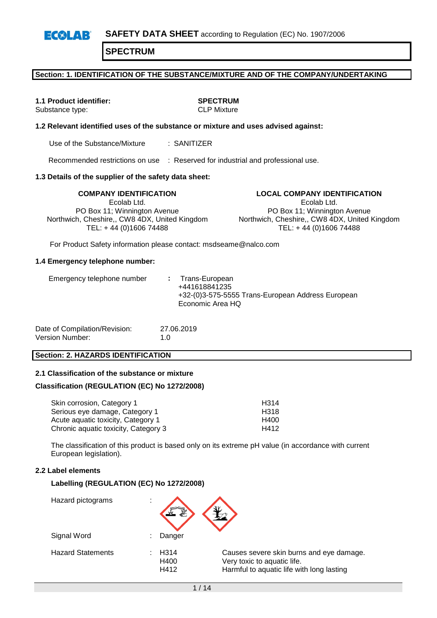**SAFETY DATA SHEET** according to Regulation (EC) No. 1907/2006  $E(X|A)$ 

**SPECTRUM**

## **Section: 1. IDENTIFICATION OF THE SUBSTANCE/MIXTURE AND OF THE COMPANY/UNDERTAKING**

**1.1 Product identifier: SPECTRUM** Substance type: CLP Mixture

## **1.2 Relevant identified uses of the substance or mixture and uses advised against:**

Use of the Substance/Mixture : SANITIZER

Recommended restrictions on use : Reserved for industrial and professional use.

#### **1.3 Details of the supplier of the safety data sheet:**

Ecolab Ltd. PO Box 11; Winnington Avenue Northwich, Cheshire,, CW8 4DX, United Kingdom TEL: + 44 (0)1606 74488

**COMPANY IDENTIFICATION LOCAL COMPANY IDENTIFICATION** Ecolab Ltd. PO Box 11; Winnington Avenue Northwich, Cheshire,, CW8 4DX, United Kingdom TEL: + 44 (0)1606 74488

For Product Safety information please contact: msdseame@nalco.com

#### **1.4 Emergency telephone number:**

| Emergency telephone number |  | : Trans-European<br>+441618841235<br>+32-(0)3-575-5555 Trans-European Address European<br>Economic Area HQ |
|----------------------------|--|------------------------------------------------------------------------------------------------------------|
|----------------------------|--|------------------------------------------------------------------------------------------------------------|

| Date of Compilation/Revision: | 27.06.2019 |
|-------------------------------|------------|
| Version Number:               | 1.0        |

## **Section: 2. HAZARDS IDENTIFICATION**

## **2.1 Classification of the substance or mixture**

#### **Classification (REGULATION (EC) No 1272/2008)**

| Skin corrosion, Category 1           | H314 |
|--------------------------------------|------|
| Serious eye damage, Category 1       | H318 |
| Acute aguatic toxicity, Category 1   | H400 |
| Chronic aquatic toxicity, Category 3 | H412 |

The classification of this product is based only on its extreme pH value (in accordance with current European legislation).

## **2.2 Label elements**

#### **Labelling (REGULATION (EC) No 1272/2008)**

| Hazard pictograms        | t |                      |                                               |
|--------------------------|---|----------------------|-----------------------------------------------|
| Signal Word              | ÷ | Danger               |                                               |
| <b>Hazard Statements</b> |   | H314<br>H400<br>H412 | Causes s<br>Very toxi<br>Harmful <sup>-</sup> |

severe skin burns and eye damage. ic to aquatic life. to aquatic life with long lasting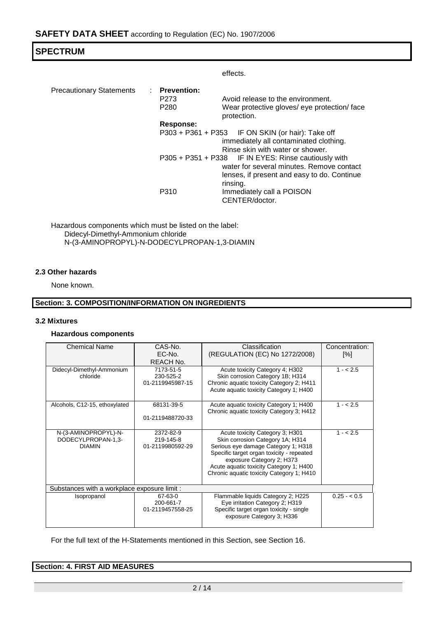effects.

| <b>Precautionary Statements</b> | : Prevention:<br>P <sub>273</sub><br>P <sub>280</sub> | Avoid release to the environment.<br>Wear protective gloves/ eye protection/ face<br>protection.                                                             |
|---------------------------------|-------------------------------------------------------|--------------------------------------------------------------------------------------------------------------------------------------------------------------|
|                                 | Response:                                             |                                                                                                                                                              |
|                                 |                                                       | P303 + P361 + P353 IF ON SKIN (or hair): Take off<br>immediately all contaminated clothing.<br>Rinse skin with water or shower.                              |
|                                 |                                                       | P305 + P351 + P338 IF IN EYES: Rinse cautiously with<br>water for several minutes. Remove contact<br>lenses, if present and easy to do. Continue<br>rinsing. |
|                                 | P310                                                  | Immediately call a POISON<br>CENTER/doctor.                                                                                                                  |

Hazardous components which must be listed on the label: Didecyl-Dimethyl-Ammonium chloride N-(3-AMINOPROPYL)-N-DODECYLPROPAN-1,3-DIAMIN

## **2.3 Other hazards**

None known.

## **Section: 3. COMPOSITION/INFORMATION ON INGREDIENTS**

## **3.2 Mixtures**

## **Hazardous components**

| <b>Chemical Name</b>                                        | CAS-No.                                    | Classification                                                                                                                                                                                                                                                               | Concentration: |
|-------------------------------------------------------------|--------------------------------------------|------------------------------------------------------------------------------------------------------------------------------------------------------------------------------------------------------------------------------------------------------------------------------|----------------|
|                                                             | EC-No.                                     | (REGULATION (EC) No 1272/2008)                                                                                                                                                                                                                                               | [%]            |
|                                                             | <b>REACH No.</b>                           |                                                                                                                                                                                                                                                                              |                |
| Didecyl-Dimethyl-Ammonium                                   | 7173-51-5                                  | Acute toxicity Category 4; H302                                                                                                                                                                                                                                              | $1 - 2.5$      |
| chloride                                                    | 230-525-2                                  | Skin corrosion Category 1B; H314                                                                                                                                                                                                                                             |                |
|                                                             | 01-2119945987-15                           | Chronic aquatic toxicity Category 2; H411                                                                                                                                                                                                                                    |                |
|                                                             |                                            | Acute aquatic toxicity Category 1; H400                                                                                                                                                                                                                                      |                |
| Alcohols, C12-15, ethoxylated                               | 68131-39-5                                 | Acute aquatic toxicity Category 1; H400                                                                                                                                                                                                                                      | $1 - 2.5$      |
|                                                             |                                            | Chronic aquatic toxicity Category 3; H412                                                                                                                                                                                                                                    |                |
|                                                             | 01-2119488720-33                           |                                                                                                                                                                                                                                                                              |                |
| N-(3-AMINOPROPYL)-N-<br>DODECYLPROPAN-1,3-<br><b>DIAMIN</b> | 2372-82-9<br>219-145-8<br>01-2119980592-29 | Acute toxicity Category 3; H301<br>Skin corrosion Category 1A; H314<br>Serious eye damage Category 1; H318<br>Specific target organ toxicity - repeated<br>exposure Category 2; H373<br>Acute aquatic toxicity Category 1; H400<br>Chronic aquatic toxicity Category 1; H410 | $1 - 2.5$      |
| Substances with a workplace exposure limit :                |                                            |                                                                                                                                                                                                                                                                              |                |
| Isopropanol                                                 | 67-63-0<br>200-661-7<br>01-2119457558-25   | Flammable liquids Category 2; H225<br>Eye irritation Category 2; H319<br>Specific target organ toxicity - single<br>exposure Category 3; H336                                                                                                                                | $0.25 - 0.5$   |

For the full text of the H-Statements mentioned in this Section, see Section 16.

| <b>Section: 4. FIRST AID MEASURES</b> |  |
|---------------------------------------|--|
|                                       |  |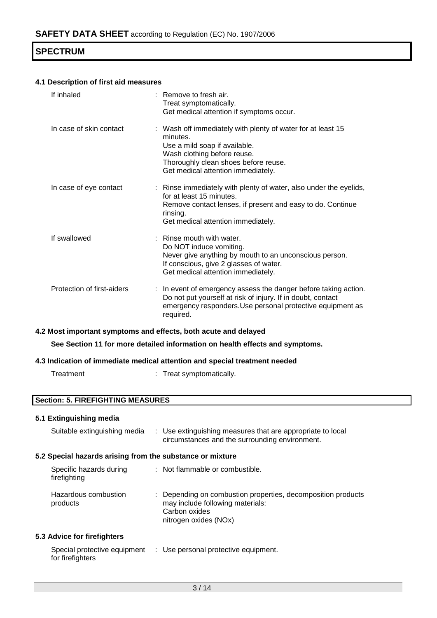## **4.1 Description of first aid measures**

| If inhaled                 | $\pm$ Remove to fresh air.<br>Treat symptomatically.<br>Get medical attention if symptoms occur.                                                                                                                      |
|----------------------------|-----------------------------------------------------------------------------------------------------------------------------------------------------------------------------------------------------------------------|
| In case of skin contact    | : Wash off immediately with plenty of water for at least 15<br>minutes.<br>Use a mild soap if available.<br>Wash clothing before reuse.<br>Thoroughly clean shoes before reuse.<br>Get medical attention immediately. |
| In case of eye contact     | : Rinse immediately with plenty of water, also under the eyelids,<br>for at least 15 minutes.<br>Remove contact lenses, if present and easy to do. Continue<br>rinsing.<br>Get medical attention immediately.         |
| If swallowed               | $:$ Rinse mouth with water.<br>Do NOT induce vomiting.<br>Never give anything by mouth to an unconscious person.<br>If conscious, give 2 glasses of water.<br>Get medical attention immediately.                      |
| Protection of first-aiders | : In event of emergency assess the danger before taking action.<br>Do not put yourself at risk of injury. If in doubt, contact<br>emergency responders. Use personal protective equipment as<br>required.             |

## **4.2 Most important symptoms and effects, both acute and delayed**

**See Section 11 for more detailed information on health effects and symptoms.**

## **4.3 Indication of immediate medical attention and special treatment needed**

| Treatment |  | Treat symptomatically. |
|-----------|--|------------------------|
|-----------|--|------------------------|

## **Section: 5. FIREFIGHTING MEASURES**

## **5.1 Extinguishing media**

| Suitable extinguishing media                              | : Use extinguishing measures that are appropriate to local<br>circumstances and the surrounding environment.                               |
|-----------------------------------------------------------|--------------------------------------------------------------------------------------------------------------------------------------------|
| 5.2 Special hazards arising from the substance or mixture |                                                                                                                                            |
| Specific hazards during<br>firefighting                   | : Not flammable or combustible.                                                                                                            |
| Hazardous combustion<br>products                          | : Depending on combustion properties, decomposition products<br>may include following materials:<br>Carbon oxides<br>nitrogen oxides (NOx) |
| <b>5.3 Advice for firefighters</b>                        |                                                                                                                                            |
| Special protective equipment<br>for firefighters          | : Use personal protective equipment.                                                                                                       |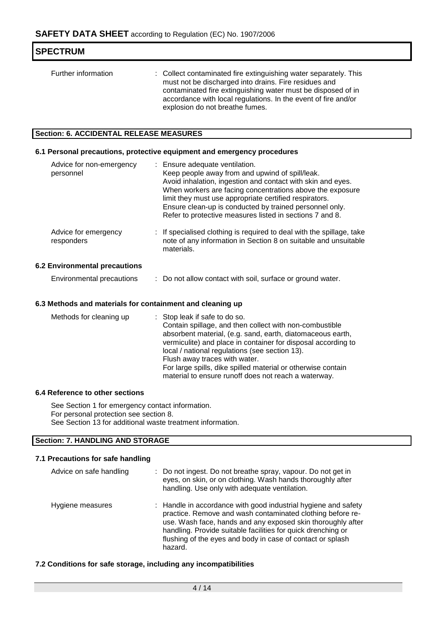| <b>SPECTRUM</b>     |                                                                                                                                                                                                                                                                                                |  |  |  |
|---------------------|------------------------------------------------------------------------------------------------------------------------------------------------------------------------------------------------------------------------------------------------------------------------------------------------|--|--|--|
| Further information | : Collect contaminated fire extinguishing water separately. This<br>must not be discharged into drains. Fire residues and<br>contaminated fire extinguishing water must be disposed of in<br>accordance with local regulations. In the event of fire and/or<br>explosion do not breathe fumes. |  |  |  |

## **Section: 6. ACCIDENTAL RELEASE MEASURES**

## **6.1 Personal precautions, protective equipment and emergency procedures**

| Advice for non-emergency<br>personnel |  | : Ensure adequate ventilation.<br>Keep people away from and upwind of spill/leak.<br>Avoid inhalation, ingestion and contact with skin and eyes.<br>When workers are facing concentrations above the exposure<br>limit they must use appropriate certified respirators.<br>Ensure clean-up is conducted by trained personnel only.<br>Refer to protective measures listed in sections 7 and 8. |  |  |
|---------------------------------------|--|------------------------------------------------------------------------------------------------------------------------------------------------------------------------------------------------------------------------------------------------------------------------------------------------------------------------------------------------------------------------------------------------|--|--|
| Advice for emergency<br>responders    |  | : If specialised clothing is required to deal with the spillage, take<br>note of any information in Section 8 on suitable and unsuitable<br>materials.                                                                                                                                                                                                                                         |  |  |
| <b>6.2 Environmental precautions</b>  |  |                                                                                                                                                                                                                                                                                                                                                                                                |  |  |

| Environmental precautions |  | Do not allow contact with soil, surface or ground water. |
|---------------------------|--|----------------------------------------------------------|
|---------------------------|--|----------------------------------------------------------|

## **6.3 Methods and materials for containment and cleaning up**

| Methods for cleaning up | : Stop leak if safe to do so.<br>Contain spillage, and then collect with non-combustible<br>absorbent material, (e.g. sand, earth, diatomaceous earth, |
|-------------------------|--------------------------------------------------------------------------------------------------------------------------------------------------------|
|                         | vermiculite) and place in container for disposal according to<br>local / national regulations (see section 13).                                        |
|                         | Flush away traces with water.                                                                                                                          |
|                         | For large spills, dike spilled material or otherwise contain<br>material to ensure runoff does not reach a waterway.                                   |

## **6.4 Reference to other sections**

See Section 1 for emergency contact information. For personal protection see section 8. See Section 13 for additional waste treatment information.

## **Section: 7. HANDLING AND STORAGE**

## **7.1 Precautions for safe handling**

| Advice on safe handling | : Do not ingest. Do not breathe spray, vapour. Do not get in<br>eyes, on skin, or on clothing. Wash hands thoroughly after<br>handling. Use only with adequate ventilation.                                                                                                                                                          |  |
|-------------------------|--------------------------------------------------------------------------------------------------------------------------------------------------------------------------------------------------------------------------------------------------------------------------------------------------------------------------------------|--|
| Hygiene measures        | : Handle in accordance with good industrial hygiene and safety<br>practice. Remove and wash contaminated clothing before re-<br>use. Wash face, hands and any exposed skin thoroughly after<br>handling. Provide suitable facilities for quick drenching or<br>flushing of the eyes and body in case of contact or splash<br>hazard. |  |

## **7.2 Conditions for safe storage, including any incompatibilities**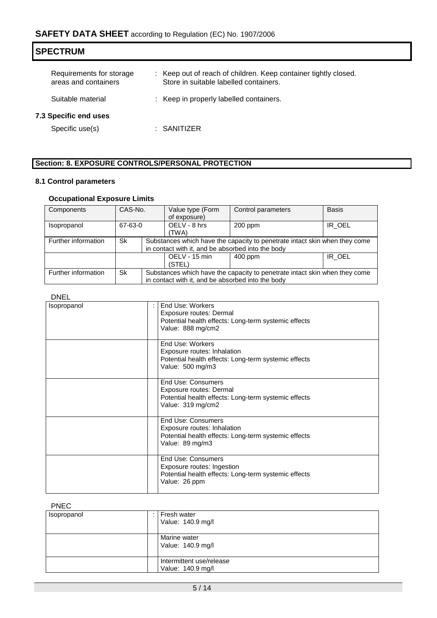| <b>SPECTRUM</b>                                  |  |                                                                                                           |  |  |
|--------------------------------------------------|--|-----------------------------------------------------------------------------------------------------------|--|--|
| Requirements for storage<br>areas and containers |  | : Keep out of reach of children. Keep container tightly closed.<br>Store in suitable labelled containers. |  |  |
| Suitable material                                |  | : Keep in properly labelled containers.                                                                   |  |  |
| 7.3 Specific end uses<br>Specific use(s)         |  | $\therefore$ SANITIZER                                                                                    |  |  |

## **Section: 8. EXPOSURE CONTROLS/PERSONAL PROTECTION**

## **8.1 Control parameters**

## **Occupational Exposure Limits**

| Components          | CAS-No. |  | Value type (Form                                                           | Control parameters | <b>Basis</b> |  |
|---------------------|---------|--|----------------------------------------------------------------------------|--------------------|--------------|--|
|                     |         |  | of exposure)                                                               |                    |              |  |
| Isopropanol         | 67-63-0 |  | OELV - 8 hrs                                                               | $200$ ppm          | IR_OEL       |  |
|                     |         |  | (TWA)                                                                      |                    |              |  |
| Further information | Sk      |  | Substances which have the capacity to penetrate intact skin when they come |                    |              |  |
|                     |         |  | in contact with it, and be absorbed into the body                          |                    |              |  |
|                     |         |  | OELV - 15 min                                                              | $400$ ppm          | IR OEL       |  |
|                     |         |  | (STEL)                                                                     |                    |              |  |
| Further information | Sk      |  | Substances which have the capacity to penetrate intact skin when they come |                    |              |  |
|                     |         |  | in contact with it, and be absorbed into the body                          |                    |              |  |

| LINEL       |                                                                                                                                     |
|-------------|-------------------------------------------------------------------------------------------------------------------------------------|
| Isopropanol | End Use: Workers<br>Exposure routes: Dermal<br>Potential health effects: Long-term systemic effects<br>Value: 888 mg/cm2            |
|             | End Use: Workers<br>Exposure routes: Inhalation<br>Potential health effects: Long-term systemic effects<br>Value: 500 mg/m3         |
|             | <b>End Use: Consumers</b><br>Exposure routes: Dermal<br>Potential health effects: Long-term systemic effects<br>Value: 319 mg/cm2   |
|             | <b>End Use: Consumers</b><br>Exposure routes: Inhalation<br>Potential health effects: Long-term systemic effects<br>Value: 89 mg/m3 |
|             | End Use: Consumers<br>Exposure routes: Ingestion<br>Potential health effects: Long-term systemic effects<br>Value: 26 ppm           |

## PNEC

| .           |                                               |
|-------------|-----------------------------------------------|
| Isopropanol | Fresh water<br>Value: 140.9 mg/l              |
|             | Marine water<br>Value: 140.9 mg/l             |
|             | Intermittent use/release<br>Value: 140.9 mg/l |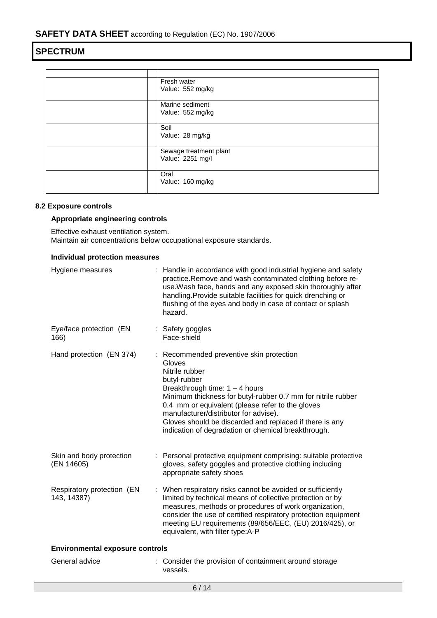| Fresh water<br>Value: 552 mg/kg            |
|--------------------------------------------|
| Marine sediment<br>Value: 552 mg/kg        |
| Soil<br>Value: 28 mg/kg                    |
| Sewage treatment plant<br>Value: 2251 mg/l |
| Oral<br>Value: 160 mg/kg                   |

## **8.2 Exposure controls**

## **Appropriate engineering controls**

Effective exhaust ventilation system. Maintain air concentrations below occupational exposure standards.

## **Individual protection measures**

| Hygiene measures                          | : Handle in accordance with good industrial hygiene and safety<br>practice. Remove and wash contaminated clothing before re-<br>use. Wash face, hands and any exposed skin thoroughly after<br>handling. Provide suitable facilities for quick drenching or<br>flushing of the eyes and body in case of contact or splash<br>hazard.                                                                  |  |  |
|-------------------------------------------|-------------------------------------------------------------------------------------------------------------------------------------------------------------------------------------------------------------------------------------------------------------------------------------------------------------------------------------------------------------------------------------------------------|--|--|
| Eye/face protection (EN<br>166)           | : Safety goggles<br>Face-shield                                                                                                                                                                                                                                                                                                                                                                       |  |  |
| Hand protection (EN 374)                  | Recommended preventive skin protection<br>Gloves<br>Nitrile rubber<br>butyl-rubber<br>Breakthrough time: $1 - 4$ hours<br>Minimum thickness for butyl-rubber 0.7 mm for nitrile rubber<br>0.4 mm or equivalent (please refer to the gloves<br>manufacturer/distributor for advise).<br>Gloves should be discarded and replaced if there is any<br>indication of degradation or chemical breakthrough. |  |  |
| Skin and body protection<br>(EN 14605)    | : Personal protective equipment comprising: suitable protective<br>gloves, safety goggles and protective clothing including<br>appropriate safety shoes                                                                                                                                                                                                                                               |  |  |
| Respiratory protection (EN<br>143, 14387) | : When respiratory risks cannot be avoided or sufficiently<br>limited by technical means of collective protection or by<br>measures, methods or procedures of work organization,<br>consider the use of certified respiratory protection equipment<br>meeting EU requirements (89/656/EEC, (EU) 2016/425), or<br>equivalent, with filter type:A-P                                                     |  |  |
| <b>Environmental exposure controls</b>    |                                                                                                                                                                                                                                                                                                                                                                                                       |  |  |
| General advice                            | Consider the provision of containment around storage<br>vessels.                                                                                                                                                                                                                                                                                                                                      |  |  |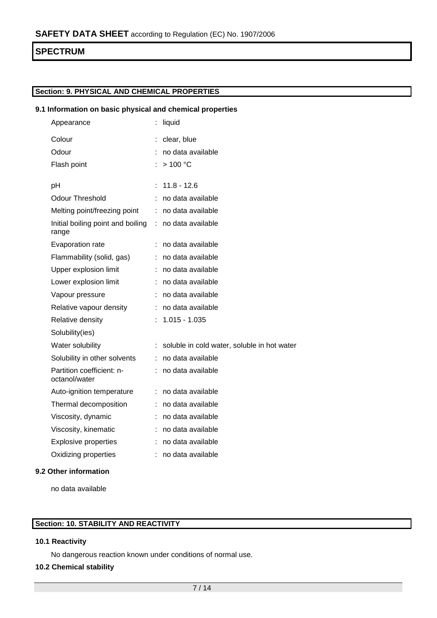## **Section: 9. PHYSICAL AND CHEMICAL PROPERTIES**

## **9.1 Information on basic physical and chemical properties**

| Appearance                                 | liquid                                      |
|--------------------------------------------|---------------------------------------------|
| Colour                                     | clear, blue                                 |
| Odour                                      | : no data available                         |
| Flash point                                | : > 100 °C                                  |
| pH                                         | 11.8 - 12.6                                 |
| <b>Odour Threshold</b>                     | no data available                           |
| Melting point/freezing point               | : no data available                         |
| Initial boiling point and boiling<br>range | : no data available                         |
| Evaporation rate                           | no data available                           |
| Flammability (solid, gas)                  | : no data available                         |
| Upper explosion limit                      | : no data available                         |
| Lower explosion limit                      | : no data available                         |
| Vapour pressure                            | : no data available                         |
| Relative vapour density                    | : no data available                         |
| Relative density                           | $1.015 - 1.035$                             |
| Solubility(ies)                            |                                             |
| Water solubility                           | soluble in cold water, soluble in hot water |
| Solubility in other solvents               | : no data available                         |
| Partition coefficient: n-<br>octanol/water | : no data available                         |
| Auto-ignition temperature                  | : no data available                         |
| Thermal decomposition                      | : no data available                         |
| Viscosity, dynamic                         | no data available                           |
| Viscosity, kinematic                       | : no data available                         |
| <b>Explosive properties</b>                | : no data available                         |
| Oxidizing properties                       | : no data available                         |
|                                            |                                             |

## **9.2 Other information**

no data available

## **Section: 10. STABILITY AND REACTIVITY**

## **10.1 Reactivity**

No dangerous reaction known under conditions of normal use.

## **10.2 Chemical stability**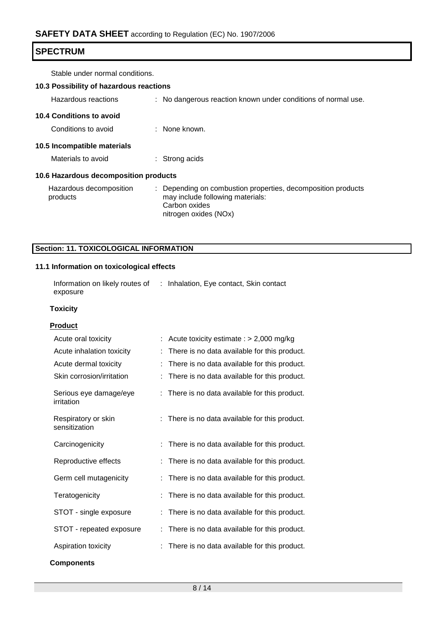Stable under normal conditions.

| 10.3 Possibility of hazardous reactions |  |                                                                                                                                          |  |
|-----------------------------------------|--|------------------------------------------------------------------------------------------------------------------------------------------|--|
| Hazardous reactions                     |  | : No dangerous reaction known under conditions of normal use.                                                                            |  |
| 10.4 Conditions to avoid                |  |                                                                                                                                          |  |
| Conditions to avoid                     |  | $\therefore$ None known.                                                                                                                 |  |
| 10.5 Incompatible materials             |  |                                                                                                                                          |  |
| Materials to avoid                      |  | $:$ Strong acids                                                                                                                         |  |
| 10.6 Hazardous decomposition products   |  |                                                                                                                                          |  |
| Hazardous decomposition<br>products     |  | Depending on combustion properties, decomposition products<br>may include following materials:<br>Carbon oxides<br>nitrogen oxides (NOx) |  |

## **Section: 11. TOXICOLOGICAL INFORMATION**

## **11.1 Information on toxicological effects**

| exposure        | Information on likely routes of : Inhalation, Eye contact, Skin contact |  |
|-----------------|-------------------------------------------------------------------------|--|
| <b>Toxicity</b> |                                                                         |  |

| Product |  |
|---------|--|
|         |  |

| Acute oral toxicity                  |   | Acute toxicity estimate : $> 2,000$ mg/kg      |
|--------------------------------------|---|------------------------------------------------|
| Acute inhalation toxicity            | ÷ | There is no data available for this product.   |
| Acute dermal toxicity                | ÷ | There is no data available for this product.   |
| Skin corrosion/irritation            |   | There is no data available for this product.   |
| Serious eye damage/eye<br>irritation |   | : There is no data available for this product. |
| Respiratory or skin<br>sensitization |   | : There is no data available for this product. |
| Carcinogenicity                      |   | There is no data available for this product.   |
| Reproductive effects                 | ÷ | There is no data available for this product.   |
| Germ cell mutagenicity               |   | There is no data available for this product.   |
| Teratogenicity                       |   | There is no data available for this product.   |
| STOT - single exposure               |   | There is no data available for this product.   |
| STOT - repeated exposure             |   | There is no data available for this product.   |
| Aspiration toxicity                  |   | There is no data available for this product.   |
| <b>Components</b>                    |   |                                                |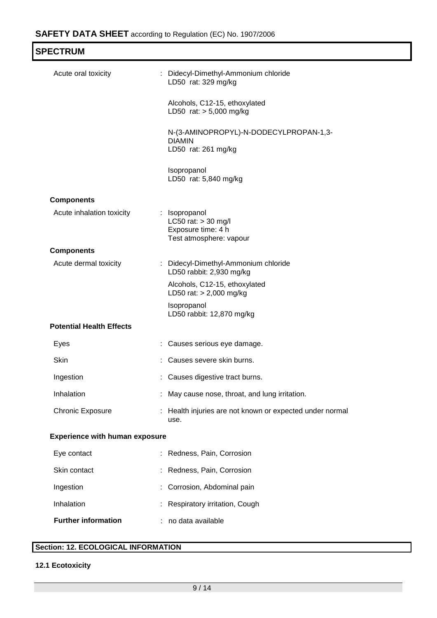| <b>SPECTRUM</b>                       |                                                                                         |
|---------------------------------------|-----------------------------------------------------------------------------------------|
| Acute oral toxicity                   | : Didecyl-Dimethyl-Ammonium chloride<br>LD50 rat: 329 mg/kg                             |
|                                       | Alcohols, C12-15, ethoxylated<br>LD50 rat: $> 5,000$ mg/kg                              |
|                                       | N-(3-AMINOPROPYL)-N-DODECYLPROPAN-1,3-<br><b>DIAMIN</b><br>LD50 rat: 261 mg/kg          |
|                                       | Isopropanol<br>LD50 rat: 5,840 mg/kg                                                    |
| <b>Components</b>                     |                                                                                         |
| Acute inhalation toxicity             | : Isopropanol<br>LC50 rat: $>$ 30 mg/l<br>Exposure time: 4 h<br>Test atmosphere: vapour |
| <b>Components</b>                     |                                                                                         |
| Acute dermal toxicity                 | : Didecyl-Dimethyl-Ammonium chloride<br>LD50 rabbit: 2,930 mg/kg                        |
|                                       | Alcohols, C12-15, ethoxylated<br>LD50 rat: > 2,000 mg/kg                                |
|                                       | Isopropanol<br>LD50 rabbit: 12,870 mg/kg                                                |
| <b>Potential Health Effects</b>       |                                                                                         |
| Eyes                                  | Causes serious eye damage.                                                              |
| Skin                                  | Causes severe skin burns.                                                               |
| Ingestion                             | : Causes digestive tract burns.                                                         |
| Inhalation                            | May cause nose, throat, and lung irritation.                                            |
| <b>Chronic Exposure</b>               | : Health injuries are not known or expected under normal<br>use.                        |
| <b>Experience with human exposure</b> |                                                                                         |
| Eye contact                           | : Redness, Pain, Corrosion                                                              |
| Skin contact                          | : Redness, Pain, Corrosion                                                              |
| Ingestion                             | Corrosion, Abdominal pain                                                               |
| Inhalation                            | Respiratory irritation, Cough                                                           |
| <b>Further information</b>            | no data available                                                                       |

## **Section: 12. ECOLOGICAL INFORMATION**

## **12.1 Ecotoxicity**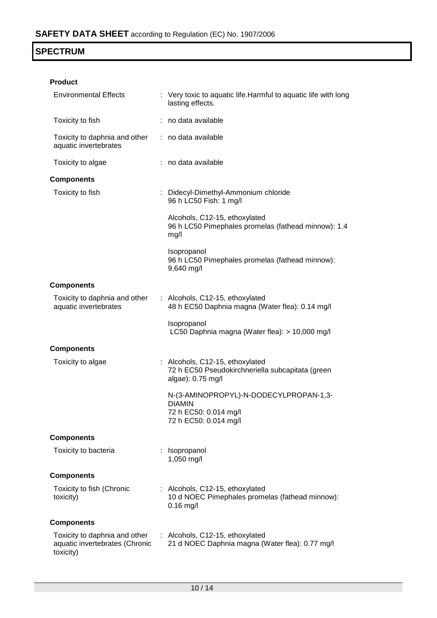## **Product**

| <b>Environmental Effects</b>                                                 | : Very toxic to aquatic life. Harmful to aquatic life with long<br>lasting effects.                       |
|------------------------------------------------------------------------------|-----------------------------------------------------------------------------------------------------------|
| Toxicity to fish                                                             | : no data available                                                                                       |
| Toxicity to daphnia and other<br>aquatic invertebrates                       | : no data available                                                                                       |
| Toxicity to algae                                                            | : no data available                                                                                       |
| <b>Components</b>                                                            |                                                                                                           |
| Toxicity to fish                                                             | : Didecyl-Dimethyl-Ammonium chloride<br>96 h LC50 Fish: 1 mg/l                                            |
|                                                                              | Alcohols, C12-15, ethoxylated<br>96 h LC50 Pimephales promelas (fathead minnow): 1.4<br>mg/l              |
|                                                                              | Isopropanol<br>96 h LC50 Pimephales promelas (fathead minnow):<br>9,640 mg/l                              |
| <b>Components</b>                                                            |                                                                                                           |
| Toxicity to daphnia and other<br>aquatic invertebrates                       | : Alcohols, C12-15, ethoxylated<br>48 h EC50 Daphnia magna (Water flea): 0.14 mg/l                        |
|                                                                              | Isopropanol<br>LC50 Daphnia magna (Water flea): > 10,000 mg/l                                             |
| <b>Components</b>                                                            |                                                                                                           |
| Toxicity to algae                                                            | : Alcohols, C12-15, ethoxylated<br>72 h EC50 Pseudokirchneriella subcapitata (green<br>algae): 0.75 mg/l  |
|                                                                              | N-(3-AMINOPROPYL)-N-DODECYLPROPAN-1,3-<br><b>DIAMIN</b><br>72 h EC50: 0.014 mg/l<br>72 h EC50: 0.014 mg/l |
| <b>Components</b>                                                            |                                                                                                           |
| Toxicity to bacteria                                                         | Isopropanol<br>1,050 mg/l                                                                                 |
| <b>Components</b>                                                            |                                                                                                           |
| Toxicity to fish (Chronic<br>toxicity)                                       | : Alcohols, C12-15, ethoxylated<br>10 d NOEC Pimephales promelas (fathead minnow):<br>$0.16$ mg/l         |
| <b>Components</b>                                                            |                                                                                                           |
| Toxicity to daphnia and other<br>aquatic invertebrates (Chronic<br>toxicity) | : Alcohols, C12-15, ethoxylated<br>21 d NOEC Daphnia magna (Water flea): 0.77 mg/l                        |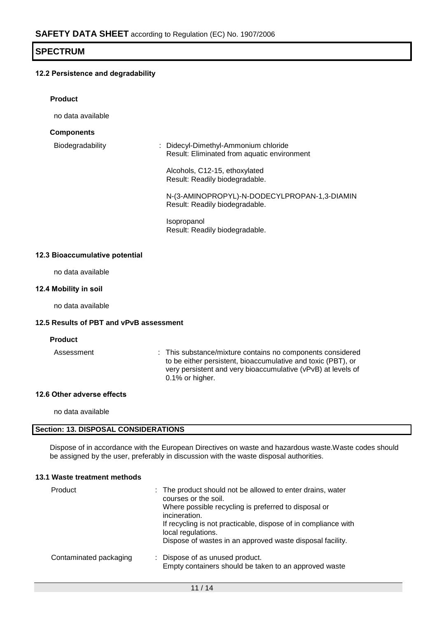## **12.2 Persistence and degradability**

| <b>Product</b>                          |                                                                                                                                                                                            |
|-----------------------------------------|--------------------------------------------------------------------------------------------------------------------------------------------------------------------------------------------|
| no data available                       |                                                                                                                                                                                            |
| <b>Components</b>                       |                                                                                                                                                                                            |
| Biodegradability                        | : Didecyl-Dimethyl-Ammonium chloride<br>Result: Eliminated from aquatic environment                                                                                                        |
|                                         | Alcohols, C12-15, ethoxylated<br>Result: Readily biodegradable.                                                                                                                            |
|                                         | N-(3-AMINOPROPYL)-N-DODECYLPROPAN-1,3-DIAMIN<br>Result: Readily biodegradable.                                                                                                             |
|                                         | Isopropanol<br>Result: Readily biodegradable.                                                                                                                                              |
| 12.3 Bioaccumulative potential          |                                                                                                                                                                                            |
| no data available                       |                                                                                                                                                                                            |
| 12.4 Mobility in soil                   |                                                                                                                                                                                            |
| no data available                       |                                                                                                                                                                                            |
| 12.5 Results of PBT and vPvB assessment |                                                                                                                                                                                            |
| <b>Product</b>                          |                                                                                                                                                                                            |
| Assessment                              | : This substance/mixture contains no components considered<br>to be either persistent, bioaccumulative and toxic (PBT), or<br>very persistent and very bioaccumulative (vPvB) at levels of |

0.1% or higher.

## **12.6 Other adverse effects**

no data available

## **Section: 13. DISPOSAL CONSIDERATIONS**

Dispose of in accordance with the European Directives on waste and hazardous waste.Waste codes should be assigned by the user, preferably in discussion with the waste disposal authorities.

## **13.1 Waste treatment methods**

| Product                | : The product should not be allowed to enter drains, water<br>courses or the soil.<br>Where possible recycling is preferred to disposal or<br>incineration.<br>If recycling is not practicable, dispose of in compliance with<br>local regulations.<br>Dispose of wastes in an approved waste disposal facility. |
|------------------------|------------------------------------------------------------------------------------------------------------------------------------------------------------------------------------------------------------------------------------------------------------------------------------------------------------------|
| Contaminated packaging | : Dispose of as unused product.<br>Empty containers should be taken to an approved waste                                                                                                                                                                                                                         |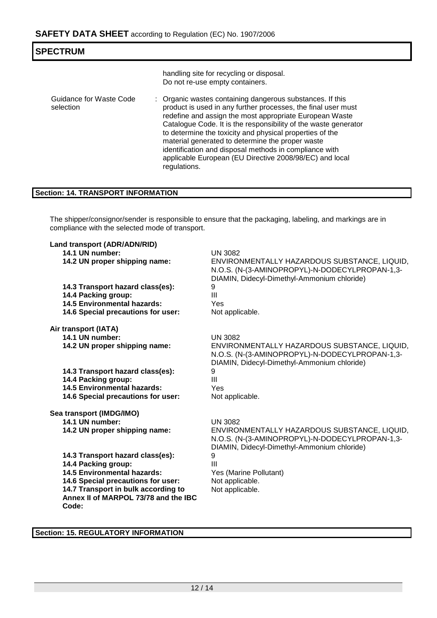| <b>SPECTRUM</b>                      |                                                                                                                                                                                                                                                                                                                                                                                                                                                                                                               |
|--------------------------------------|---------------------------------------------------------------------------------------------------------------------------------------------------------------------------------------------------------------------------------------------------------------------------------------------------------------------------------------------------------------------------------------------------------------------------------------------------------------------------------------------------------------|
|                                      | handling site for recycling or disposal.<br>Do not re-use empty containers.                                                                                                                                                                                                                                                                                                                                                                                                                                   |
| Guidance for Waste Code<br>selection | : Organic wastes containing dangerous substances. If this<br>product is used in any further processes, the final user must<br>redefine and assign the most appropriate European Waste<br>Catalogue Code. It is the responsibility of the waste generator<br>to determine the toxicity and physical properties of the<br>material generated to determine the proper waste<br>identification and disposal methods in compliance with<br>applicable European (EU Directive 2008/98/EC) and local<br>regulations. |

## **Section: 14. TRANSPORT INFORMATION**

The shipper/consignor/sender is responsible to ensure that the packaging, labeling, and markings are in compliance with the selected mode of transport.

| Land transport (ADR/ADN/RID)<br>14.1 UN number:<br>14.2 UN proper shipping name:<br>14.3 Transport hazard class(es):<br>14.4 Packing group:<br><b>14.5 Environmental hazards:</b><br>14.6 Special precautions for user: | <b>UN 3082</b><br>ENVIRONMENTALLY HAZARDOUS SUBSTANCE, LIQUID,<br>N.O.S. (N-(3-AMINOPROPYL)-N-DODECYLPROPAN-1,3-<br>DIAMIN, Didecyl-Dimethyl-Ammonium chloride)<br>9<br>Ш<br>Yes<br>Not applicable. |
|-------------------------------------------------------------------------------------------------------------------------------------------------------------------------------------------------------------------------|-----------------------------------------------------------------------------------------------------------------------------------------------------------------------------------------------------|
| Air transport (IATA)                                                                                                                                                                                                    |                                                                                                                                                                                                     |
| 14.1 UN number:                                                                                                                                                                                                         | <b>UN 3082</b>                                                                                                                                                                                      |
| 14.2 UN proper shipping name:                                                                                                                                                                                           | ENVIRONMENTALLY HAZARDOUS SUBSTANCE, LIQUID,<br>N.O.S. (N-(3-AMINOPROPYL)-N-DODECYLPROPAN-1,3-<br>DIAMIN, Didecyl-Dimethyl-Ammonium chloride)                                                       |
| 14.3 Transport hazard class(es):                                                                                                                                                                                        | 9                                                                                                                                                                                                   |
| 14.4 Packing group:                                                                                                                                                                                                     | III                                                                                                                                                                                                 |
| <b>14.5 Environmental hazards:</b>                                                                                                                                                                                      | Yes                                                                                                                                                                                                 |
| 14.6 Special precautions for user:                                                                                                                                                                                      | Not applicable.                                                                                                                                                                                     |
| Sea transport (IMDG/IMO)                                                                                                                                                                                                |                                                                                                                                                                                                     |
| 14.1 UN number:                                                                                                                                                                                                         | UN 3082                                                                                                                                                                                             |
| 14.2 UN proper shipping name:                                                                                                                                                                                           | ENVIRONMENTALLY HAZARDOUS SUBSTANCE, LIQUID,<br>N.O.S. (N-(3-AMINOPROPYL)-N-DODECYLPROPAN-1,3-<br>DIAMIN, Didecyl-Dimethyl-Ammonium chloride)                                                       |
| 14.3 Transport hazard class(es):                                                                                                                                                                                        | 9                                                                                                                                                                                                   |
| 14.4 Packing group:                                                                                                                                                                                                     | Ш                                                                                                                                                                                                   |
| 14.5 Environmental hazards:                                                                                                                                                                                             | Yes (Marine Pollutant)                                                                                                                                                                              |
| 14.6 Special precautions for user:                                                                                                                                                                                      | Not applicable.                                                                                                                                                                                     |
| 14.7 Transport in bulk according to<br>Annex II of MARPOL 73/78 and the IBC<br>Code:                                                                                                                                    | Not applicable.                                                                                                                                                                                     |

**Section: 15. REGULATORY INFORMATION**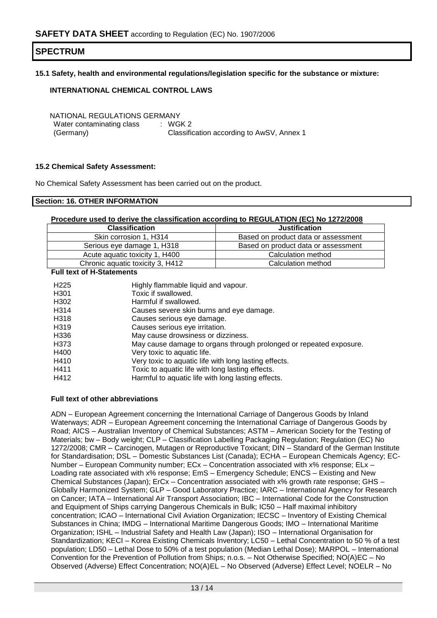## **15.1 Safety, health and environmental regulations/legislation specific for the substance or mixture:**

## **INTERNATIONAL CHEMICAL CONTROL LAWS**

NATIONAL REGULATIONS GERMANY Water contaminating class  $\qquad$  : WGK 2 (Germany) Classification according to AwSV, Annex 1

## **15.2 Chemical Safety Assessment:**

No Chemical Safety Assessment has been carried out on the product.

#### **Section: 16. OTHER INFORMATION**

## **Procedure used to derive the classification according to REGULATION (EC) No 1272/2008**

| <b>Classification</b>            | <b>Justification</b>                |
|----------------------------------|-------------------------------------|
| Skin corrosion 1, H314           | Based on product data or assessment |
| Serious eye damage 1, H318       | Based on product data or assessment |
| Acute aguatic toxicity 1, H400   | Calculation method                  |
| Chronic aquatic toxicity 3, H412 | Calculation method                  |

#### **Full text of H-Statements**

| H <sub>225</sub> | Highly flammable liquid and vapour.                                |
|------------------|--------------------------------------------------------------------|
| H <sub>301</sub> | Toxic if swallowed.                                                |
| H302             | Harmful if swallowed.                                              |
| H314             | Causes severe skin burns and eye damage.                           |
| H318             | Causes serious eye damage.                                         |
| H319             | Causes serious eye irritation.                                     |
| H336             | May cause drowsiness or dizziness.                                 |
| H373             | May cause damage to organs through prolonged or repeated exposure. |
| H400             | Very toxic to aquatic life.                                        |
| H410             | Very toxic to aquatic life with long lasting effects.              |
| H411             | Toxic to aquatic life with long lasting effects.                   |
| H412             | Harmful to aquatic life with long lasting effects.                 |

#### **Full text of other abbreviations**

ADN – European Agreement concerning the International Carriage of Dangerous Goods by Inland Waterways; ADR – European Agreement concerning the International Carriage of Dangerous Goods by Road; AICS – Australian Inventory of Chemical Substances; ASTM – American Society for the Testing of Materials; bw – Body weight; CLP – Classification Labelling Packaging Regulation; Regulation (EC) No 1272/2008; CMR – Carcinogen, Mutagen or Reproductive Toxicant; DIN – Standard of the German Institute for Standardisation; DSL – Domestic Substances List (Canada); ECHA – European Chemicals Agency; EC-Number – European Community number; ECx – Concentration associated with x% response; ELx – Loading rate associated with x% response; EmS – Emergency Schedule; ENCS – Existing and New Chemical Substances (Japan); ErCx – Concentration associated with x% growth rate response; GHS – Globally Harmonized System; GLP – Good Laboratory Practice; IARC – International Agency for Research on Cancer; IATA – International Air Transport Association; IBC – International Code for the Construction and Equipment of Ships carrying Dangerous Chemicals in Bulk; IC50 – Half maximal inhibitory concentration; ICAO – International Civil Aviation Organization; IECSC – Inventory of Existing Chemical Substances in China; IMDG – International Maritime Dangerous Goods; IMO – International Maritime Organization; ISHL – Industrial Safety and Health Law (Japan); ISO – International Organisation for Standardization; KECI – Korea Existing Chemicals Inventory; LC50 – Lethal Concentration to 50 % of a test population; LD50 – Lethal Dose to 50% of a test population (Median Lethal Dose); MARPOL – International Convention for the Prevention of Pollution from Ships; n.o.s. – Not Otherwise Specified; NO(A)EC – No Observed (Adverse) Effect Concentration; NO(A)EL – No Observed (Adverse) Effect Level; NOELR – No